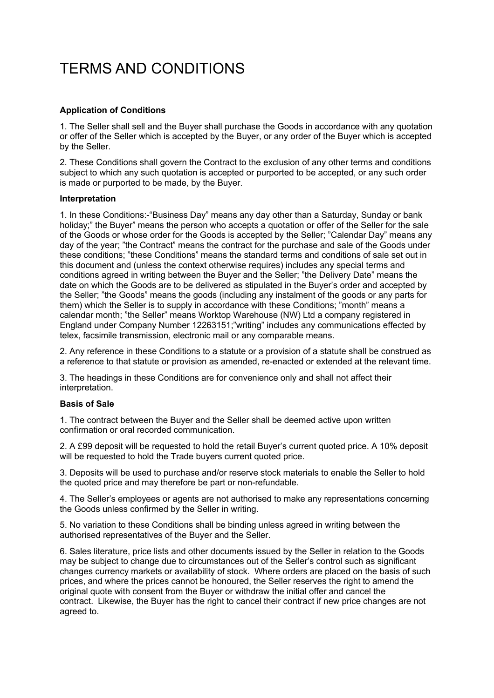# TERMS AND CONDITIONS

# **Application of Conditions**

1. The Seller shall sell and the Buyer shall purchase the Goods in accordance with any quotation or offer of the Seller which is accepted by the Buyer, or any order of the Buyer which is accepted by the Seller.

2. These Conditions shall govern the Contract to the exclusion of any other terms and conditions subject to which any such quotation is accepted or purported to be accepted, or any such order is made or purported to be made, by the Buyer.

## **Interpretation**

1. In these Conditions:-"Business Day" means any day other than a Saturday, Sunday or bank holiday;" the Buyer" means the person who accepts a quotation or offer of the Seller for the sale of the Goods or whose order for the Goods is accepted by the Seller; "Calendar Day" means any day of the year; "the Contract" means the contract for the purchase and sale of the Goods under these conditions; "these Conditions" means the standard terms and conditions of sale set out in this document and (unless the context otherwise requires) includes any special terms and conditions agreed in writing between the Buyer and the Seller; "the Delivery Date" means the date on which the Goods are to be delivered as stipulated in the Buyer's order and accepted by the Seller; "the Goods" means the goods (including any instalment of the goods or any parts for them) which the Seller is to supply in accordance with these Conditions; "month" means a calendar month; "the Seller" means Worktop Warehouse (NW) Ltd a company registered in England under Company Number 12263151;"writing" includes any communications effected by telex, facsimile transmission, electronic mail or any comparable means.

2. Any reference in these Conditions to a statute or a provision of a statute shall be construed as a reference to that statute or provision as amended, re-enacted or extended at the relevant time.

3. The headings in these Conditions are for convenience only and shall not affect their interpretation.

## **Basis of Sale**

1. The contract between the Buyer and the Seller shall be deemed active upon written confirmation or oral recorded communication.

2. A £99 deposit will be requested to hold the retail Buyer's current quoted price. A 10% deposit will be requested to hold the Trade buyers current quoted price.

3. Deposits will be used to purchase and/or reserve stock materials to enable the Seller to hold the quoted price and may therefore be part or non-refundable.

4. The Seller's employees or agents are not authorised to make any representations concerning the Goods unless confirmed by the Seller in writing.

5. No variation to these Conditions shall be binding unless agreed in writing between the authorised representatives of the Buyer and the Seller.

6. Sales literature, price lists and other documents issued by the Seller in relation to the Goods may be subject to change due to circumstances out of the Seller's control such as significant changes currency markets or availability of stock. Where orders are placed on the basis of such prices, and where the prices cannot be honoured, the Seller reserves the right to amend the original quote with consent from the Buyer or withdraw the initial offer and cancel the contract. Likewise, the Buyer has the right to cancel their contract if new price changes are not agreed to.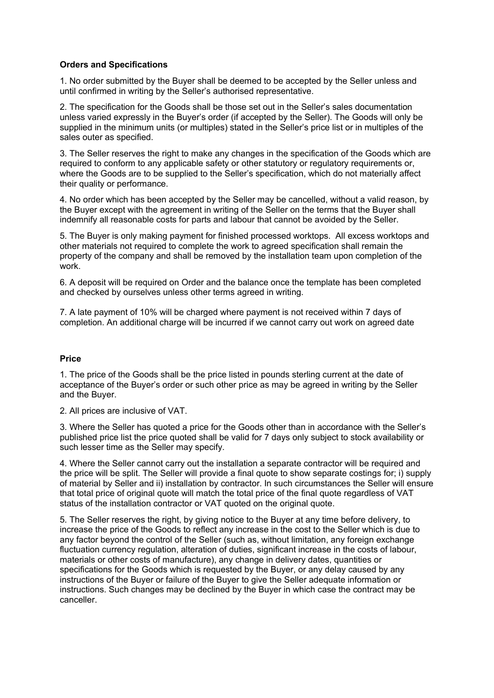## **Orders and Specifications**

1. No order submitted by the Buyer shall be deemed to be accepted by the Seller unless and until confirmed in writing by the Seller's authorised representative.

2. The specification for the Goods shall be those set out in the Seller's sales documentation unless varied expressly in the Buyer's order (if accepted by the Seller). The Goods will only be supplied in the minimum units (or multiples) stated in the Seller's price list or in multiples of the sales outer as specified.

3. The Seller reserves the right to make any changes in the specification of the Goods which are required to conform to any applicable safety or other statutory or regulatory requirements or, where the Goods are to be supplied to the Seller's specification, which do not materially affect their quality or performance.

4. No order which has been accepted by the Seller may be cancelled, without a valid reason, by the Buyer except with the agreement in writing of the Seller on the terms that the Buyer shall indemnify all reasonable costs for parts and labour that cannot be avoided by the Seller.

5. The Buyer is only making payment for finished processed worktops. All excess worktops and other materials not required to complete the work to agreed specification shall remain the property of the company and shall be removed by the installation team upon completion of the work.

6. A deposit will be required on Order and the balance once the template has been completed and checked by ourselves unless other terms agreed in writing.

7. A late payment of 10% will be charged where payment is not received within 7 days of completion. An additional charge will be incurred if we cannot carry out work on agreed date

## **Price**

1. The price of the Goods shall be the price listed in pounds sterling current at the date of acceptance of the Buyer's order or such other price as may be agreed in writing by the Seller and the Buyer.

2. All prices are inclusive of VAT.

3. Where the Seller has quoted a price for the Goods other than in accordance with the Seller's published price list the price quoted shall be valid for 7 days only subject to stock availability or such lesser time as the Seller may specify.

4. Where the Seller cannot carry out the installation a separate contractor will be required and the price will be split. The Seller will provide a final quote to show separate costings for; i) supply of material by Seller and ii) installation by contractor. In such circumstances the Seller will ensure that total price of original quote will match the total price of the final quote regardless of VAT status of the installation contractor or VAT quoted on the original quote.

5. The Seller reserves the right, by giving notice to the Buyer at any time before delivery, to increase the price of the Goods to reflect any increase in the cost to the Seller which is due to any factor beyond the control of the Seller (such as, without limitation, any foreign exchange fluctuation currency regulation, alteration of duties, significant increase in the costs of labour, materials or other costs of manufacture), any change in delivery dates, quantities or specifications for the Goods which is requested by the Buyer, or any delay caused by any instructions of the Buyer or failure of the Buyer to give the Seller adequate information or instructions. Such changes may be declined by the Buyer in which case the contract may be canceller.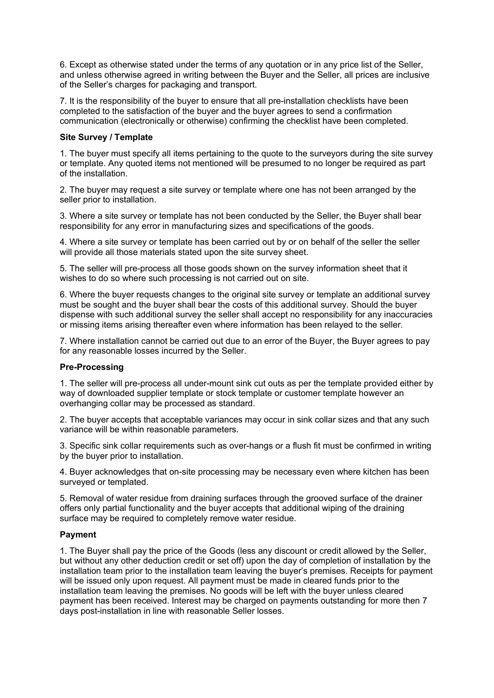6. Except as otherwise stated under the terms of any quotation or in any price list of the Seller, and unless otherwise agreed in writing between the Buyer and the Seller, all prices are inclusive of the Seller's charges for packaging and transport.

7. It is the responsibility of the buyer to ensure that all pre-installation checklists have been completed to the satisfaction of the buyer and the buyer agrees to send a confirmation communication (electronically or otherwise) confirming the checklist have been completed.

## **Site Survey / Template**

1. The buyer must specify all items pertaining to the quote to the surveyors during the site survey or template. Any quoted items not mentioned will be presumed to no longer be required as part of the installation.

2. The buyer may request a site survey or template where one has not been arranged by the seller prior to installation.

3. Where a site survey or template has not been conducted by the Seller, the Buyer shall bear responsibility for any error in manufacturing sizes and specifications of the goods.

4. Where a site survey or template has been carried out by or on behalf of the seller the seller will provide all those materials stated upon the site survey sheet.

5. The seller will pre-process all those goods shown on the survey information sheet that it wishes to do so where such processing is not carried out on site.

6. Where the buyer requests changes to the original site survey or template an additional survey must be sought and the buyer shall bear the costs of this additional survey. Should the buyer dispense with such additional survey the seller shall accept no responsibility for any inaccuracies or missing items arising thereafter even where information has been relayed to the seller.

7. Where installation cannot be carried out due to an error of the Buyer, the Buyer agrees to pay for any reasonable losses incurred by the Seller.

## **Pre-Processing**

1. The seller will pre-process all under-mount sink cut outs as per the template provided either by way of downloaded supplier template or stock template or customer template however an overhanging collar may be processed as standard.

2. The buyer accepts that acceptable variances may occur in sink collar sizes and that any such variance will be within reasonable parameters.

3. Specific sink collar requirements such as over-hangs or a flush fit must be confirmed in writing by the buyer prior to installation.

4. Buyer acknowledges that on-site processing may be necessary even where kitchen has been surveyed or templated.

5. Removal of water residue from draining surfaces through the grooved surface of the drainer offers only partial functionality and the buyer accepts that additional wiping of the draining surface may be required to completely remove water residue.

## **Payment**

1. The Buyer shall pay the price of the Goods (less any discount or credit allowed by the Seller, but without any other deduction credit or set off) upon the day of completion of installation by the installation team prior to the installation team leaving the buyer's premises. Receipts for payment will be issued only upon request. All payment must be made in cleared funds prior to the installation team leaving the premises. No goods will be left with the buyer unless cleared payment has been received. Interest may be charged on payments outstanding for more then 7 days post-installation in line with reasonable Seller losses.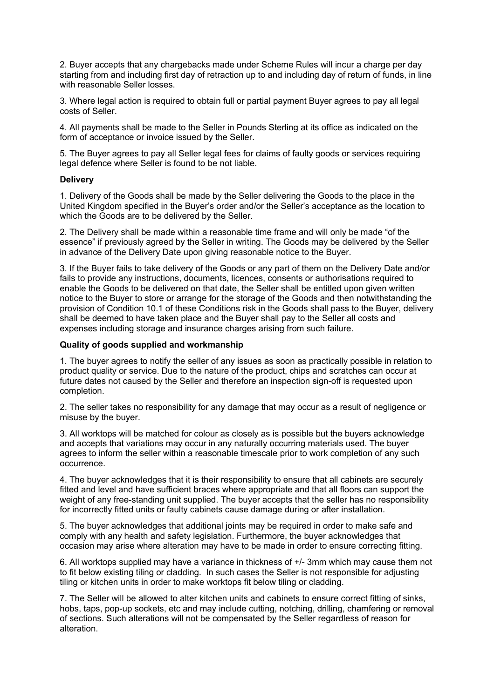2. Buyer accepts that any chargebacks made under Scheme Rules will incur a charge per day starting from and including first day of retraction up to and including day of return of funds, in line with reasonable Seller losses.

3. Where legal action is required to obtain full or partial payment Buyer agrees to pay all legal costs of Seller.

4. All payments shall be made to the Seller in Pounds Sterling at its office as indicated on the form of acceptance or invoice issued by the Seller.

5. The Buyer agrees to pay all Seller legal fees for claims of faulty goods or services requiring legal defence where Seller is found to be not liable.

## **Delivery**

1. Delivery of the Goods shall be made by the Seller delivering the Goods to the place in the United Kingdom specified in the Buyer's order and/or the Seller's acceptance as the location to which the Goods are to be delivered by the Seller.

2. The Delivery shall be made within a reasonable time frame and will only be made "of the essence" if previously agreed by the Seller in writing. The Goods may be delivered by the Seller in advance of the Delivery Date upon giving reasonable notice to the Buyer.

3. If the Buyer fails to take delivery of the Goods or any part of them on the Delivery Date and/or fails to provide any instructions, documents, licences, consents or authorisations required to enable the Goods to be delivered on that date, the Seller shall be entitled upon given written notice to the Buyer to store or arrange for the storage of the Goods and then notwithstanding the provision of Condition 10.1 of these Conditions risk in the Goods shall pass to the Buyer, delivery shall be deemed to have taken place and the Buyer shall pay to the Seller all costs and expenses including storage and insurance charges arising from such failure.

## **Quality of goods supplied and workmanship**

1. The buyer agrees to notify the seller of any issues as soon as practically possible in relation to product quality or service. Due to the nature of the product, chips and scratches can occur at future dates not caused by the Seller and therefore an inspection sign-off is requested upon completion.

2. The seller takes no responsibility for any damage that may occur as a result of negligence or misuse by the buyer.

3. All worktops will be matched for colour as closely as is possible but the buyers acknowledge and accepts that variations may occur in any naturally occurring materials used. The buyer agrees to inform the seller within a reasonable timescale prior to work completion of any such occurrence.

4. The buyer acknowledges that it is their responsibility to ensure that all cabinets are securely fitted and level and have sufficient braces where appropriate and that all floors can support the weight of any free-standing unit supplied. The buyer accepts that the seller has no responsibility for incorrectly fitted units or faulty cabinets cause damage during or after installation.

5. The buyer acknowledges that additional joints may be required in order to make safe and comply with any health and safety legislation. Furthermore, the buyer acknowledges that occasion may arise where alteration may have to be made in order to ensure correcting fitting.

6. All worktops supplied may have a variance in thickness of +/- 3mm which may cause them not to fit below existing tiling or cladding. In such cases the Seller is not responsible for adjusting tiling or kitchen units in order to make worktops fit below tiling or cladding.

7. The Seller will be allowed to alter kitchen units and cabinets to ensure correct fitting of sinks, hobs, taps, pop-up sockets, etc and may include cutting, notching, drilling, chamfering or removal of sections. Such alterations will not be compensated by the Seller regardless of reason for alteration.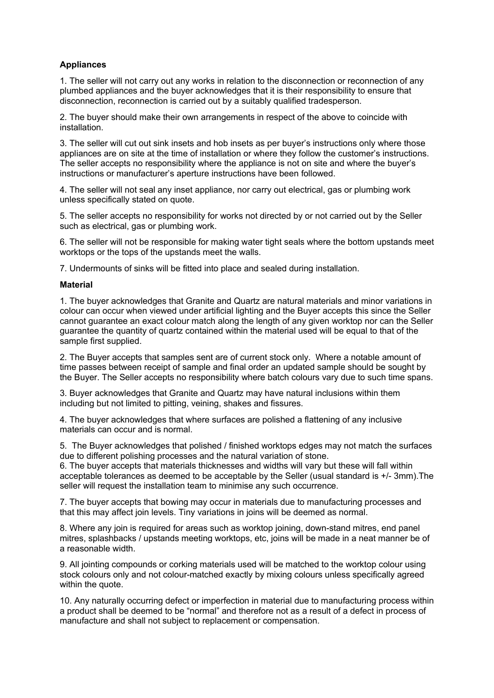# **Appliances**

1. The seller will not carry out any works in relation to the disconnection or reconnection of any plumbed appliances and the buyer acknowledges that it is their responsibility to ensure that disconnection, reconnection is carried out by a suitably qualified tradesperson.

2. The buyer should make their own arrangements in respect of the above to coincide with installation.

3. The seller will cut out sink insets and hob insets as per buyer's instructions only where those appliances are on site at the time of installation or where they follow the customer's instructions. The seller accepts no responsibility where the appliance is not on site and where the buyer's instructions or manufacturer's aperture instructions have been followed.

4. The seller will not seal any inset appliance, nor carry out electrical, gas or plumbing work unless specifically stated on quote.

5. The seller accepts no responsibility for works not directed by or not carried out by the Seller such as electrical, gas or plumbing work.

6. The seller will not be responsible for making water tight seals where the bottom upstands meet worktops or the tops of the upstands meet the walls.

7. Undermounts of sinks will be fitted into place and sealed during installation.

## **Material**

1. The buyer acknowledges that Granite and Quartz are natural materials and minor variations in colour can occur when viewed under artificial lighting and the Buyer accepts this since the Seller cannot guarantee an exact colour match along the length of any given worktop nor can the Seller guarantee the quantity of quartz contained within the material used will be equal to that of the sample first supplied.

2. The Buyer accepts that samples sent are of current stock only. Where a notable amount of time passes between receipt of sample and final order an updated sample should be sought by the Buyer. The Seller accepts no responsibility where batch colours vary due to such time spans.

3. Buyer acknowledges that Granite and Quartz may have natural inclusions within them including but not limited to pitting, veining, shakes and fissures.

4. The buyer acknowledges that where surfaces are polished a flattening of any inclusive materials can occur and is normal.

5. The Buyer acknowledges that polished / finished worktops edges may not match the surfaces due to different polishing processes and the natural variation of stone.

6. The buyer accepts that materials thicknesses and widths will vary but these will fall within acceptable tolerances as deemed to be acceptable by the Seller (usual standard is +/- 3mm).The seller will request the installation team to minimise any such occurrence.

7. The buyer accepts that bowing may occur in materials due to manufacturing processes and that this may affect join levels. Tiny variations in joins will be deemed as normal.

8. Where any join is required for areas such as worktop joining, down-stand mitres, end panel mitres, splashbacks / upstands meeting worktops, etc, joins will be made in a neat manner be of a reasonable width.

9. All jointing compounds or corking materials used will be matched to the worktop colour using stock colours only and not colour-matched exactly by mixing colours unless specifically agreed within the quote.

10. Any naturally occurring defect or imperfection in material due to manufacturing process within a product shall be deemed to be "normal" and therefore not as a result of a defect in process of manufacture and shall not subject to replacement or compensation.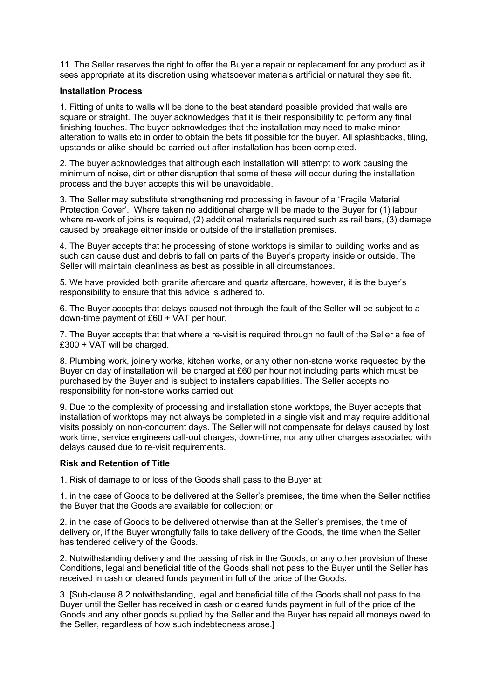11. The Seller reserves the right to offer the Buyer a repair or replacement for any product as it sees appropriate at its discretion using whatsoever materials artificial or natural they see fit.

## **Installation Process**

1. Fitting of units to walls will be done to the best standard possible provided that walls are square or straight. The buyer acknowledges that it is their responsibility to perform any final finishing touches. The buyer acknowledges that the installation may need to make minor alteration to walls etc in order to obtain the bets fit possible for the buyer. All splashbacks, tiling, upstands or alike should be carried out after installation has been completed.

2. The buyer acknowledges that although each installation will attempt to work causing the minimum of noise, dirt or other disruption that some of these will occur during the installation process and the buyer accepts this will be unavoidable.

3. The Seller may substitute strengthening rod processing in favour of a 'Fragile Material Protection Cover'. Where taken no additional charge will be made to the Buyer for (1) labour where re-work of joins is required, (2) additional materials required such as rail bars, (3) damage caused by breakage either inside or outside of the installation premises.

4. The Buyer accepts that he processing of stone worktops is similar to building works and as such can cause dust and debris to fall on parts of the Buyer's property inside or outside. The Seller will maintain cleanliness as best as possible in all circumstances.

5. We have provided both granite aftercare and quartz aftercare, however, it is the buyer's responsibility to ensure that this advice is adhered to.

6. The Buyer accepts that delays caused not through the fault of the Seller will be subject to a down-time payment of £60 + VAT per hour.

7. The Buyer accepts that that where a re-visit is required through no fault of the Seller a fee of £300 + VAT will be charged.

8. Plumbing work, joinery works, kitchen works, or any other non-stone works requested by the Buyer on day of installation will be charged at £60 per hour not including parts which must be purchased by the Buyer and is subject to installers capabilities. The Seller accepts no responsibility for non-stone works carried out

9. Due to the complexity of processing and installation stone worktops, the Buyer accepts that installation of worktops may not always be completed in a single visit and may require additional visits possibly on non-concurrent days. The Seller will not compensate for delays caused by lost work time, service engineers call-out charges, down-time, nor any other charges associated with delays caused due to re-visit requirements.

#### **Risk and Retention of Title**

1. Risk of damage to or loss of the Goods shall pass to the Buyer at:

1. in the case of Goods to be delivered at the Seller's premises, the time when the Seller notifies the Buyer that the Goods are available for collection; or

2. in the case of Goods to be delivered otherwise than at the Seller's premises, the time of delivery or, if the Buyer wrongfully fails to take delivery of the Goods, the time when the Seller has tendered delivery of the Goods.

2. Notwithstanding delivery and the passing of risk in the Goods, or any other provision of these Conditions, legal and beneficial title of the Goods shall not pass to the Buyer until the Seller has received in cash or cleared funds payment in full of the price of the Goods.

3. [Sub-clause 8.2 notwithstanding, legal and beneficial title of the Goods shall not pass to the Buyer until the Seller has received in cash or cleared funds payment in full of the price of the Goods and any other goods supplied by the Seller and the Buyer has repaid all moneys owed to the Seller, regardless of how such indebtedness arose.]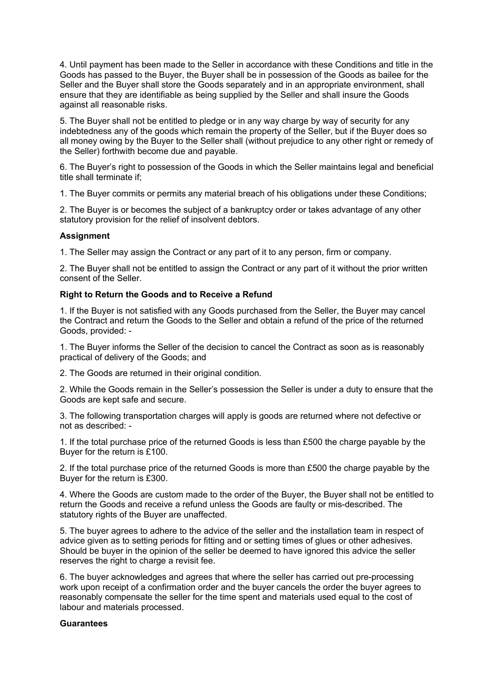4. Until payment has been made to the Seller in accordance with these Conditions and title in the Goods has passed to the Buyer, the Buyer shall be in possession of the Goods as bailee for the Seller and the Buyer shall store the Goods separately and in an appropriate environment, shall ensure that they are identifiable as being supplied by the Seller and shall insure the Goods against all reasonable risks.

5. The Buyer shall not be entitled to pledge or in any way charge by way of security for any indebtedness any of the goods which remain the property of the Seller, but if the Buyer does so all money owing by the Buyer to the Seller shall (without prejudice to any other right or remedy of the Seller) forthwith become due and payable.

6. The Buyer's right to possession of the Goods in which the Seller maintains legal and beneficial title shall terminate if;

1. The Buyer commits or permits any material breach of his obligations under these Conditions;

2. The Buyer is or becomes the subject of a bankruptcy order or takes advantage of any other statutory provision for the relief of insolvent debtors.

## **Assignment**

1. The Seller may assign the Contract or any part of it to any person, firm or company.

2. The Buyer shall not be entitled to assign the Contract or any part of it without the prior written consent of the Seller.

## **Right to Return the Goods and to Receive a Refund**

1. If the Buyer is not satisfied with any Goods purchased from the Seller, the Buyer may cancel the Contract and return the Goods to the Seller and obtain a refund of the price of the returned Goods, provided: -

1. The Buyer informs the Seller of the decision to cancel the Contract as soon as is reasonably practical of delivery of the Goods; and

2. The Goods are returned in their original condition.

2. While the Goods remain in the Seller's possession the Seller is under a duty to ensure that the Goods are kept safe and secure.

3. The following transportation charges will apply is goods are returned where not defective or not as described: -

1. If the total purchase price of the returned Goods is less than £500 the charge payable by the Buyer for the return is £100.

2. If the total purchase price of the returned Goods is more than £500 the charge payable by the Buyer for the return is £300.

4. Where the Goods are custom made to the order of the Buyer, the Buyer shall not be entitled to return the Goods and receive a refund unless the Goods are faulty or mis-described. The statutory rights of the Buyer are unaffected.

5. The buyer agrees to adhere to the advice of the seller and the installation team in respect of advice given as to setting periods for fitting and or setting times of glues or other adhesives. Should be buyer in the opinion of the seller be deemed to have ignored this advice the seller reserves the right to charge a revisit fee.

6. The buyer acknowledges and agrees that where the seller has carried out pre-processing work upon receipt of a confirmation order and the buyer cancels the order the buyer agrees to reasonably compensate the seller for the time spent and materials used equal to the cost of labour and materials processed.

#### **Guarantees**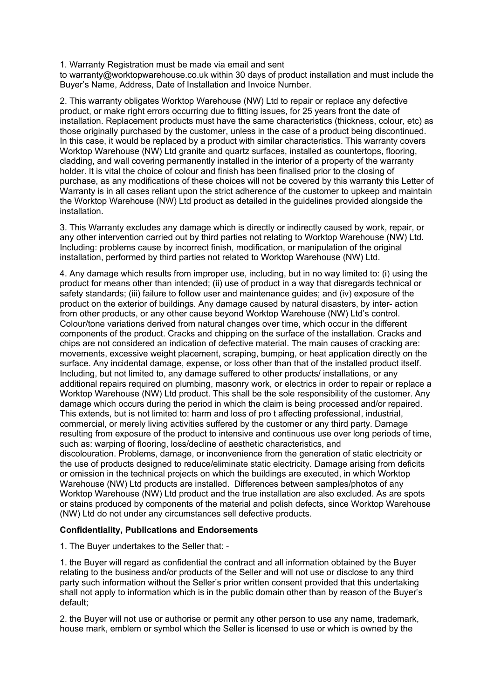1. Warranty Registration must be made via email and sent

to warranty@worktopwarehouse.co.uk within 30 days of product installation and must include the Buyer's Name, Address, Date of Installation and Invoice Number.

2. This warranty obligates Worktop Warehouse (NW) Ltd to repair or replace any defective product, or make right errors occurring due to fitting issues, for 25 years front the date of installation. Replacement products must have the same characteristics (thickness, colour, etc) as those originally purchased by the customer, unless in the case of a product being discontinued. In this case, it would be replaced by a product with similar characteristics. This warranty covers Worktop Warehouse (NW) Ltd granite and quartz surfaces, installed as countertops, flooring, cladding, and wall covering permanently installed in the interior of a property of the warranty holder. It is vital the choice of colour and finish has been finalised prior to the closing of purchase, as any modifications of these choices will not be covered by this warranty this Letter of Warranty is in all cases reliant upon the strict adherence of the customer to upkeep and maintain the Worktop Warehouse (NW) Ltd product as detailed in the guidelines provided alongside the installation.

3. This Warranty excludes any damage which is directly or indirectly caused by work, repair, or any other intervention carried out by third parties not relating to Worktop Warehouse (NW) Ltd. Including: problems cause by incorrect finish, modification, or manipulation of the original installation, performed by third parties not related to Worktop Warehouse (NW) Ltd.

4. Any damage which results from improper use, including, but in no way limited to: (i) using the product for means other than intended; (ii) use of product in a way that disregards technical or safety standards; (iii) failure to follow user and maintenance guides; and (iv) exposure of the product on the exterior of buildings. Any damage caused by natural disasters, by inter- action from other products, or any other cause beyond Worktop Warehouse (NW) Ltd's control. Colour/tone variations derived from natural changes over time, which occur in the different components of the product. Cracks and chipping on the surface of the installation. Cracks and chips are not considered an indication of defective material. The main causes of cracking are: movements, excessive weight placement, scraping, bumping, or heat application directly on the surface. Any incidental damage, expense, or loss other than that of the installed product itself. Including, but not limited to, any damage suffered to other products/ installations, or any additional repairs required on plumbing, masonry work, or electrics in order to repair or replace a Worktop Warehouse (NW) Ltd product. This shall be the sole responsibility of the customer. Any damage which occurs during the period in which the claim is being processed and/or repaired. This extends, but is not limited to: harm and loss of pro t affecting professional, industrial, commercial, or merely living activities suffered by the customer or any third party. Damage resulting from exposure of the product to intensive and continuous use over long periods of time, such as: warping of flooring, loss/decline of aesthetic characteristics, and discolouration. Problems, damage, or inconvenience from the generation of static electricity or the use of products designed to reduce/eliminate static electricity. Damage arising from deficits or omission in the technical projects on which the buildings are executed, in which Worktop Warehouse (NW) Ltd products are installed. Differences between samples/photos of any Worktop Warehouse (NW) Ltd product and the true installation are also excluded. As are spots or stains produced by components of the material and polish defects, since Worktop Warehouse (NW) Ltd do not under any circumstances sell defective products.

## **Confidentiality, Publications and Endorsements**

1. The Buyer undertakes to the Seller that: -

1. the Buyer will regard as confidential the contract and all information obtained by the Buyer relating to the business and/or products of the Seller and will not use or disclose to any third party such information without the Seller's prior written consent provided that this undertaking shall not apply to information which is in the public domain other than by reason of the Buyer's default;

2. the Buyer will not use or authorise or permit any other person to use any name, trademark, house mark, emblem or symbol which the Seller is licensed to use or which is owned by the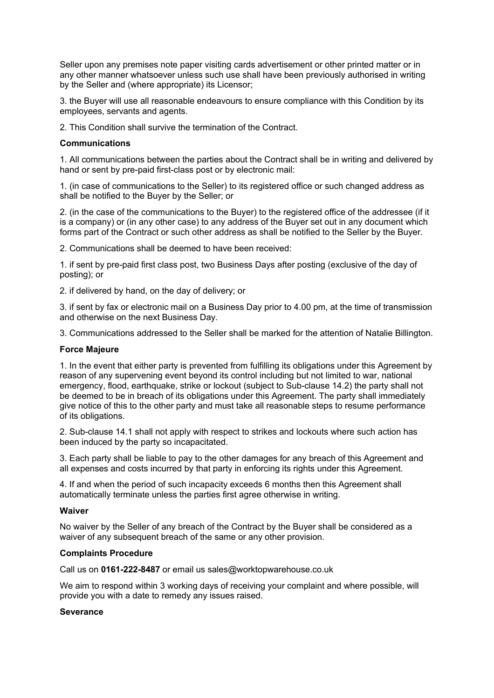Seller upon any premises note paper visiting cards advertisement or other printed matter or in any other manner whatsoever unless such use shall have been previously authorised in writing by the Seller and (where appropriate) its Licensor;

3. the Buyer will use all reasonable endeavours to ensure compliance with this Condition by its employees, servants and agents.

2. This Condition shall survive the termination of the Contract.

## **Communications**

1. All communications between the parties about the Contract shall be in writing and delivered by hand or sent by pre-paid first-class post or by electronic mail:

1. (in case of communications to the Seller) to its registered office or such changed address as shall be notified to the Buyer by the Seller; or

2. (in the case of the communications to the Buyer) to the registered office of the addressee (if it is a company) or (in any other case) to any address of the Buyer set out in any document which forms part of the Contract or such other address as shall be notified to the Seller by the Buyer.

2. Communications shall be deemed to have been received:

1. if sent by pre-paid first class post, two Business Days after posting (exclusive of the day of posting); or

2. if delivered by hand, on the day of delivery; or

3. if sent by fax or electronic mail on a Business Day prior to 4.00 pm, at the time of transmission and otherwise on the next Business Day.

3. Communications addressed to the Seller shall be marked for the attention of Natalie Billington.

#### **Force Majeure**

1. In the event that either party is prevented from fulfilling its obligations under this Agreement by reason of any supervening event beyond its control including but not limited to war, national emergency, flood, earthquake, strike or lockout (subject to Sub-clause 14.2) the party shall not be deemed to be in breach of its obligations under this Agreement. The party shall immediately give notice of this to the other party and must take all reasonable steps to resume performance of its obligations.

2. Sub-clause 14.1 shall not apply with respect to strikes and lockouts where such action has been induced by the party so incapacitated.

3. Each party shall be liable to pay to the other damages for any breach of this Agreement and all expenses and costs incurred by that party in enforcing its rights under this Agreement.

4. If and when the period of such incapacity exceeds 6 months then this Agreement shall automatically terminate unless the parties first agree otherwise in writing.

#### **Waiver**

No waiver by the Seller of any breach of the Contract by the Buyer shall be considered as a waiver of any subsequent breach of the same or any other provision.

## **Complaints Procedure**

Call us on **0161-222-8487** or email us sales@worktopwarehouse.co.uk

We aim to respond within 3 working days of receiving your complaint and where possible, will provide you with a date to remedy any issues raised.

## **Severance**